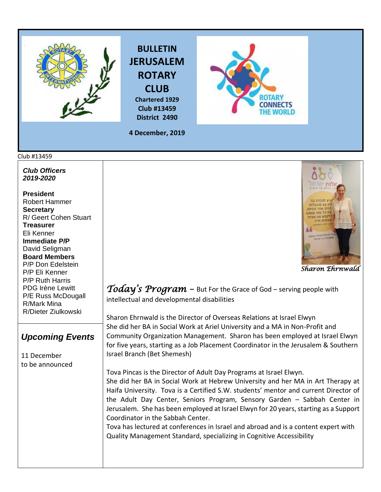





**4 December, 2019**

**District 2490**

## Club #13459

*Club Officers 2019-2020*

**President**  Robert Hammer **Secretary**  R/ Geert Cohen Stuart **Treasurer**  Eli Kenner **Immediate P/P** David Seligman **Board Members**  P/P Don Edelstein P/P Eli Kenner P/P Ruth Harris PDG Irène Lewitt P/E Russ McDougall R/Mark Mina R/Dieter Ziulkowski

## *Upcoming Events*

11 December to be announced



 *Sharon Ehrnwald* 

*Today's Program –* But For the Grace of God – serving people with intellectual and developmental disabilities

Sharon Ehrnwald is the Director of Overseas Relations at Israel Elwyn She did her BA in Social Work at Ariel University and a MA in Non-Profit and Community Organization Management. Sharon has been employed at Israel Elwyn for five years, starting as a Job Placement Coordinator in the Jerusalem & Southern Israel Branch (Bet Shemesh)

Tova Pincas is the Director of Adult Day Programs at Israel Elwyn. She did her BA in Social Work at Hebrew University and her MA in Art Therapy at Haifa University. Tova is a Certified S.W. students' mentor and current Director of the Adult Day Center, Seniors Program, Sensory Garden – Sabbah Center in Jerusalem. She has been employed at Israel Elwyn for 20 years, starting as a Support Coordinator in the Sabbah Center.

Tova has lectured at conferences in Israel and abroad and is a content expert with Quality Management Standard, specializing in Cognitive Accessibility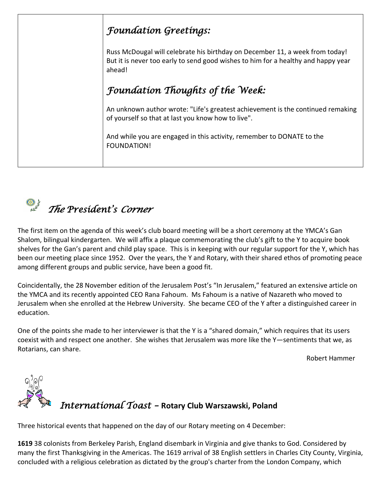## *Foundation Greetings:*  Russ McDougal will celebrate his birthday on December 11, a week from today! But it is never too early to send good wishes to him for a healthy and happy year ahead! *Foundation Thoughts of the Week:*  An unknown author wrote: "Life's greatest achievement is the continued remaking of yourself so that at last you know how to live". And while you are engaged in this activity, remember to DONATE to the FOUNDATION!

 *The President's Corner* 

The first item on the agenda of this week's club board meeting will be a short ceremony at the YMCA's Gan Shalom, bilingual kindergarten. We will affix a plaque commemorating the club's gift to the Y to acquire book shelves for the Gan's parent and child play space. This is in keeping with our regular support for the Y, which has been our meeting place since 1952. Over the years, the Y and Rotary, with their shared ethos of promoting peace among different groups and public service, have been a good fit.

Coincidentally, the 28 November edition of the Jerusalem Post's "In Jerusalem," featured an extensive article on the YMCA and its recently appointed CEO Rana Fahoum. Ms Fahoum is a native of Nazareth who moved to Jerusalem when she enrolled at the Hebrew University. She became CEO of the Y after a distinguished career in education.

One of the points she made to her interviewer is that the Y is a "shared domain," which requires that its users coexist with and respect one another. She wishes that Jerusalem was more like the Y—sentiments that we, as Rotarians, can share.

Robert Hammer



Three historical events that happened on the day of our Rotary meeting on 4 December:

**[1619](https://www.onthisday.com/events/date/1619)** 38 colonists from Berkeley Parish, England disembark in Virginia and give thanks to God. Considered by many the first Thanksgiving in the Americas. The 1619 arrival of 38 English settlers in Charles City County, Virginia, concluded with a religious celebration as dictated by the group's charter from the [London Company,](https://en.wikipedia.org/wiki/London_Company) which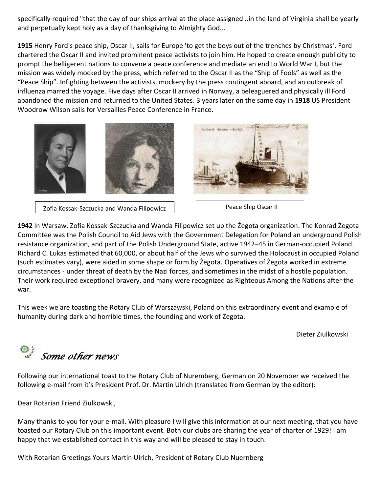specifically required "that the day of our ships arrival at the place assigned ..in the land of Virginia shall be yearly and perpetually kept holy as a day of thanksgiving to [Almighty God.](https://en.wikipedia.org/wiki/Almighty_God)..

**[1915](https://www.onthisday.com/events/date/1915)** [Henry Ford'](https://www.onthisday.com/people/henry-ford)s peace ship, Oscar II, sails for Europe 'to get the boys out of the trenches by Christmas'. Ford chartered the Oscar II and invited prominent [peace activists](https://en.wikipedia.org/wiki/Peace_activists) to join him. He hoped to create enough publicity to prompt the belligerent nations to convene a peace conference and mediate an end to [World War I,](https://en.wikipedia.org/wiki/World_War_I) but the mission was widely mocked by the press, which referred to the Oscar II as the "Ship of Fools" as well as the "Peace Ship". Infighting between the activists, mockery by the press contingent aboard, and an outbreak of influenza marred the voyage. Five days after Oscar II arrived in Norway, a beleaguered and physically ill Ford abandoned the mission and returned to the United States. 3 years later on the same day in **[1918](https://www.onthisday.com/events/date/1918)** US President [Woodrow Wilson](https://www.onthisday.com/people/woodrow-wilson) sails for Versailles Peace Conference in France.



**[1942](https://www.onthisday.com/events/date/1942)** In Warsaw, Zofia Kossak-Szczucka and Wanda Filipowicz set up the Żegota organization. The Konrad Żegota Committee was the Polish Council to Aid Jews with the [Government Delegation for Poland](https://en.wikipedia.org/wiki/Government_Delegation_for_Poland) an underground [Polish](https://en.wikipedia.org/wiki/Polish_resistance_movement_in_World_War_II)  [resistance](https://en.wikipedia.org/wiki/Polish_resistance_movement_in_World_War_II) organization, and part of the [Polish Underground State,](https://en.wikipedia.org/wiki/Polish_Underground_State) active 1942–45 in [German-occupied Poland.](https://en.wikipedia.org/wiki/Occupation_of_Poland_(1939%E2%80%931945)) [Richard C. Lukas](https://en.wikipedia.org/wiki/Richard_C._Lukas) estimated that 60,000, or about half of the Jews who survived [the Holocaust in occupied Poland](https://en.wikipedia.org/wiki/The_Holocaust_in_occupied_Poland) (such estimates vary), were aided in some shape or form by Żegota. Operatives of Żegota worked in extreme circumstances - under threat of death by the Nazi forces, and sometimes in the midst of a hostile population. Their work required exceptional bravery, and many were recognized as [Righteous Among the Nations](https://en.wikipedia.org/wiki/Righteous_Among_the_Nations) after the war.

This week we are toasting the Rotary Club of Warszawski, Poland on this extraordinary event and example of humanity during dark and horrible times, the founding and work of Zegota.

Dieter Ziulkowski

*Some other news* 

Following our international toast to the Rotary Club of Nuremberg, German on 20 November we received the following e-mail from it's President Prof. Dr. Martin Ulrich (translated from German by the editor):

Dear Rotarian Friend Ziulkowski,

Many thanks to you for your e-mail. With pleasure I will give this information at our next meeting, that you have toasted our Rotary Club on this important event. Both our clubs are sharing the year of charter of 1929! I am happy that we established contact in this way and will be pleased to stay in touch.

With Rotarian Greetings Yours Martin Ulrich, President of Rotary Club Nuernberg